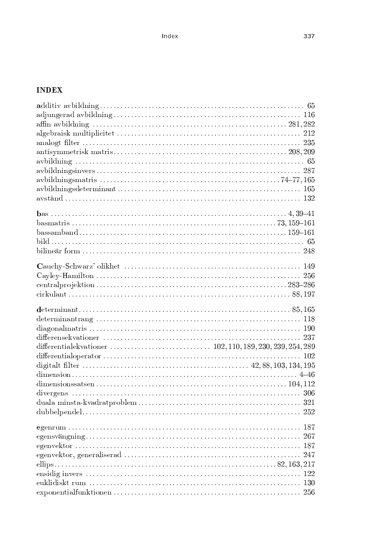## **INDEX**

| 321 |
|-----|
|     |
|     |
| 267 |
| 187 |
| 247 |
|     |
| 122 |
|     |
|     |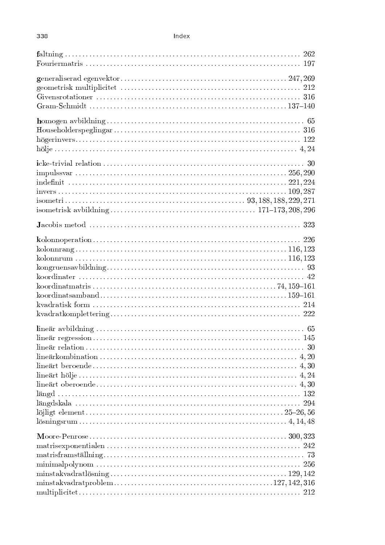## Index

| $k\nu = 222$                    |  |
|---------------------------------|--|
|                                 |  |
|                                 |  |
| $minstakvadrat lösning129, 142$ |  |
|                                 |  |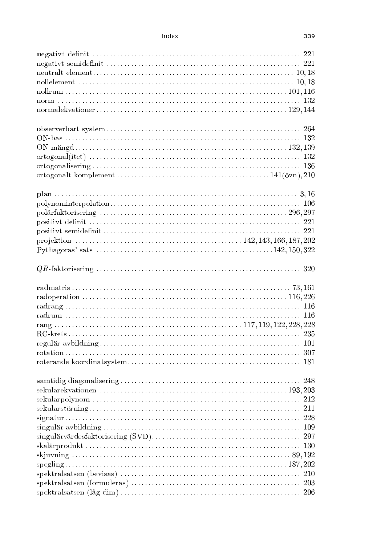## Index

| nollelement $\ldots$ $\ldots$ $\ldots$ $\ldots$ $\ldots$ $\ldots$ $\ldots$ $\ldots$ $\ldots$ $\ldots$ $\ldots$ $\ldots$ $\ldots$ $\ldots$ $\ldots$ $\ldots$ $\ldots$ $\ldots$ $\ldots$ $\ldots$ $\ldots$ $\ldots$ $\ldots$ $\ldots$ $\ldots$ $\ldots$ $\ldots$ $\ldots$ $\ldots$ $\ldots$ $\ldots$ $\ldots$ $\ldots$ $\ldots$ $\ldots$ |  |
|----------------------------------------------------------------------------------------------------------------------------------------------------------------------------------------------------------------------------------------------------------------------------------------------------------------------------------------|--|
|                                                                                                                                                                                                                                                                                                                                        |  |
|                                                                                                                                                                                                                                                                                                                                        |  |
|                                                                                                                                                                                                                                                                                                                                        |  |
|                                                                                                                                                                                                                                                                                                                                        |  |
|                                                                                                                                                                                                                                                                                                                                        |  |
|                                                                                                                                                                                                                                                                                                                                        |  |
|                                                                                                                                                                                                                                                                                                                                        |  |
|                                                                                                                                                                                                                                                                                                                                        |  |
|                                                                                                                                                                                                                                                                                                                                        |  |
|                                                                                                                                                                                                                                                                                                                                        |  |
|                                                                                                                                                                                                                                                                                                                                        |  |
|                                                                                                                                                                                                                                                                                                                                        |  |
|                                                                                                                                                                                                                                                                                                                                        |  |
|                                                                                                                                                                                                                                                                                                                                        |  |
|                                                                                                                                                                                                                                                                                                                                        |  |
|                                                                                                                                                                                                                                                                                                                                        |  |
|                                                                                                                                                                                                                                                                                                                                        |  |
|                                                                                                                                                                                                                                                                                                                                        |  |
|                                                                                                                                                                                                                                                                                                                                        |  |
|                                                                                                                                                                                                                                                                                                                                        |  |
|                                                                                                                                                                                                                                                                                                                                        |  |
|                                                                                                                                                                                                                                                                                                                                        |  |
|                                                                                                                                                                                                                                                                                                                                        |  |
|                                                                                                                                                                                                                                                                                                                                        |  |
|                                                                                                                                                                                                                                                                                                                                        |  |
|                                                                                                                                                                                                                                                                                                                                        |  |
|                                                                                                                                                                                                                                                                                                                                        |  |
|                                                                                                                                                                                                                                                                                                                                        |  |
|                                                                                                                                                                                                                                                                                                                                        |  |
|                                                                                                                                                                                                                                                                                                                                        |  |
|                                                                                                                                                                                                                                                                                                                                        |  |
|                                                                                                                                                                                                                                                                                                                                        |  |
|                                                                                                                                                                                                                                                                                                                                        |  |
|                                                                                                                                                                                                                                                                                                                                        |  |
|                                                                                                                                                                                                                                                                                                                                        |  |
|                                                                                                                                                                                                                                                                                                                                        |  |
|                                                                                                                                                                                                                                                                                                                                        |  |
|                                                                                                                                                                                                                                                                                                                                        |  |
|                                                                                                                                                                                                                                                                                                                                        |  |
|                                                                                                                                                                                                                                                                                                                                        |  |